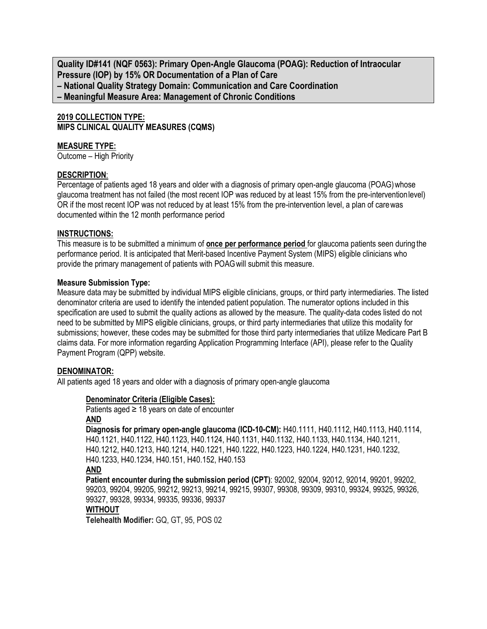**Quality ID#141 (NQF 0563): Primary Open-Angle Glaucoma (POAG): Reduction of Intraocular Pressure (IOP) by 15% OR Documentation of a Plan of Care – National Quality Strategy Domain: Communication and Care Coordination – Meaningful Measure Area: Management of Chronic Conditions**

# **2019 COLLECTION TYPE: MIPS CLINICAL QUALITY MEASURES (CQMS)**

### **MEASURE TYPE:**

Outcome – High Priority

### **DESCRIPTION**:

Percentage of patients aged 18 years and older with a diagnosis of primary open-angle glaucoma (POAG) whose glaucoma treatment has not failed (the most recent IOP was reduced by at least 15% from the pre-interventionlevel) OR if the most recent IOP was not reduced by at least 15% from the pre-intervention level, a plan of carewas documented within the 12 month performance period

### **INSTRUCTIONS:**

This measure is to be submitted a minimum of **once per performance period** for glaucoma patients seen during the performance period. It is anticipated that Merit-based Incentive Payment System (MIPS) eligible clinicians who provide the primary management of patients with POAGwill submit this measure.

### **Measure Submission Type:**

Measure data may be submitted by individual MIPS eligible clinicians, groups, or third party intermediaries. The listed denominator criteria are used to identify the intended patient population. The numerator options included in this specification are used to submit the quality actions as allowed by the measure. The quality-data codes listed do not need to be submitted by MIPS eligible clinicians, groups, or third party intermediaries that utilize this modality for submissions; however, these codes may be submitted for those third party intermediaries that utilize Medicare Part B claims data. For more information regarding Application Programming Interface (API), please refer to the Quality Payment Program (QPP) website.

# **DENOMINATOR:**

All patients aged 18 years and older with a diagnosis of primary open-angle glaucoma

# **Denominator Criteria (Eligible Cases):**

Patients aged  $\geq$  18 years on date of encounter **AND**

**Diagnosis for primary open-angle glaucoma (ICD-10-CM):** H40.1111, H40.1112, H40.1113, H40.1114, H40.1121, H40.1122, H40.1123, H40.1124, H40.1131, H40.1132, H40.1133, H40.1134, H40.1211, H40.1212, H40.1213, H40.1214, H40.1221, H40.1222, H40.1223, H40.1224, H40.1231, H40.1232, H40.1233, H40.1234, H40.151, H40.152, H40.153 **AND**

**Patient encounter during the submission period (CPT)**: 92002, 92004, 92012, 92014, 99201, 99202, 99203, 99204, 99205, 99212, 99213, 99214, 99215, 99307, 99308, 99309, 99310, 99324, 99325, 99326, 99327, 99328, 99334, 99335, 99336, 99337 **WITHOUT**

**Telehealth Modifier:** GQ, GT, 95, POS 02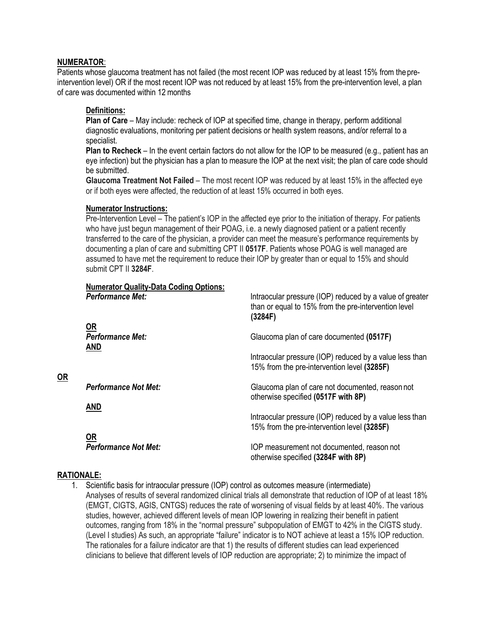# **NUMERATOR**:

Patients whose glaucoma treatment has not failed (the most recent IOP was reduced by at least 15% from the preintervention level) OR if the most recent IOP was not reduced by at least 15% from the pre-intervention level, a plan of care was documented within 12 months

# **Definitions:**

**Plan of Care** – May include: recheck of IOP at specified time, change in therapy, perform additional diagnostic evaluations, monitoring per patient decisions or health system reasons, and/or referral to a specialist.

**Plan to Recheck** – In the event certain factors do not allow for the IOP to be measured (e.g., patient has an eye infection) but the physician has a plan to measure the IOP at the next visit; the plan of care code should be submitted.

**Glaucoma Treatment Not Failed** – The most recent IOP was reduced by at least 15% in the affected eye or if both eyes were affected, the reduction of at least 15% occurred in both eyes.

### **Numerator Instructions:**

Pre-Intervention Level – The patient's IOP in the affected eye prior to the initiation of therapy. For patients who have just begun management of their POAG, i.e. a newly diagnosed patient or a patient recently transferred to the care of the physician, a provider can meet the measure's performance requirements by documenting a plan of care and submitting CPT II **0517F**. Patients whose POAG is well managed are assumed to have met the requirement to reduce their IOP by greater than or equal to 15% and should submit CPT II **3284F**.

| <b>Numerator Quality-Data Coding Options:</b> |                                                                                                                             |
|-----------------------------------------------|-----------------------------------------------------------------------------------------------------------------------------|
| <b>Performance Met:</b>                       | Intraocular pressure (IOP) reduced by a value of greater<br>than or equal to 15% from the pre-intervention level<br>(3284F) |
| <b>OR</b>                                     |                                                                                                                             |
| <b>Performance Met:</b><br><b>AND</b>         | Glaucoma plan of care documented (0517F)                                                                                    |
|                                               | Intraocular pressure (IOP) reduced by a value less than<br>15% from the pre-intervention level (3285F)                      |
| <b>Performance Not Met:</b>                   | Glaucoma plan of care not documented, reason not<br>otherwise specified (0517F with 8P)                                     |
| <b>AND</b>                                    |                                                                                                                             |
|                                               | Intraocular pressure (IOP) reduced by a value less than<br>15% from the pre-intervention level (3285F)                      |
| <b>OR</b>                                     |                                                                                                                             |
| <b>Performance Not Met:</b>                   | IOP measurement not documented, reason not<br>otherwise specified (3284F with 8P)                                           |

# **RATIONALE:**

**OR**

1. Scientific basis for intraocular pressure (IOP) control as outcomes measure (intermediate) Analyses of results of several randomized clinical trials all demonstrate that reduction of IOP of at least 18% (EMGT, CIGTS, AGIS, CNTGS) reduces the rate of worsening of visual fields by at least 40%. The various studies, however, achieved different levels of mean IOP lowering in realizing their benefit in patient outcomes, ranging from 18% in the "normal pressure" subpopulation of EMGT to 42% in the CIGTS study. (Level I studies) As such, an appropriate "failure" indicator is to NOT achieve at least a 15% IOP reduction. The rationales for a failure indicator are that 1) the results of different studies can lead experienced clinicians to believe that different levels of IOP reduction are appropriate; 2) to minimize the impact of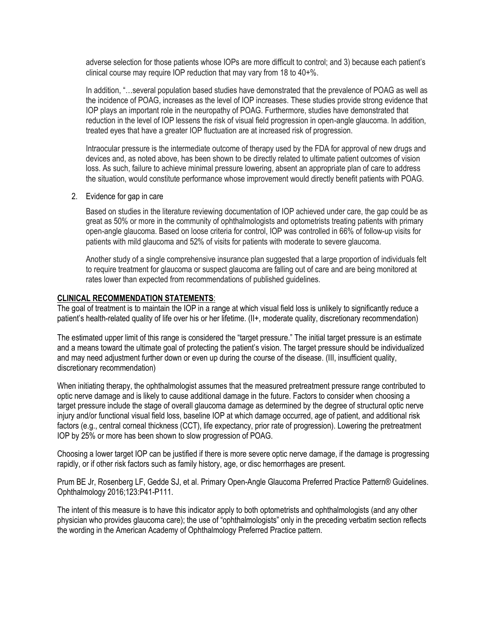adverse selection for those patients whose IOPs are more difficult to control; and 3) because each patient's clinical course may require IOP reduction that may vary from 18 to 40+%.

In addition, "…several population based studies have demonstrated that the prevalence of POAG as well as the incidence of POAG, increases as the level of IOP increases. These studies provide strong evidence that IOP plays an important role in the neuropathy of POAG. Furthermore, studies have demonstrated that reduction in the level of IOP lessens the risk of visual field progression in open-angle glaucoma. In addition, treated eyes that have a greater IOP fluctuation are at increased risk of progression.

Intraocular pressure is the intermediate outcome of therapy used by the FDA for approval of new drugs and devices and, as noted above, has been shown to be directly related to ultimate patient outcomes of vision loss. As such, failure to achieve minimal pressure lowering, absent an appropriate plan of care to address the situation, would constitute performance whose improvement would directly benefit patients with POAG.

2. Evidence for gap in care

Based on studies in the literature reviewing documentation of IOP achieved under care, the gap could be as great as 50% or more in the community of ophthalmologists and optometrists treating patients with primary open-angle glaucoma. Based on loose criteria for control, IOP was controlled in 66% of follow-up visits for patients with mild glaucoma and 52% of visits for patients with moderate to severe glaucoma.

Another study of a single comprehensive insurance plan suggested that a large proportion of individuals felt to require treatment for glaucoma or suspect glaucoma are falling out of care and are being monitored at rates lower than expected from recommendations of published guidelines.

# **CLINICAL RECOMMENDATION STATEMENTS**:

The goal of treatment is to maintain the IOP in a range at which visual field loss is unlikely to significantly reduce a patient's health-related quality of life over his or her lifetime. (II+, moderate quality, discretionary recommendation)

The estimated upper limit of this range is considered the "target pressure." The initial target pressure is an estimate and a means toward the ultimate goal of protecting the patient's vision. The target pressure should be individualized and may need adjustment further down or even up during the course of the disease. (III, insufficient quality, discretionary recommendation)

When initiating therapy, the ophthalmologist assumes that the measured pretreatment pressure range contributed to optic nerve damage and is likely to cause additional damage in the future. Factors to consider when choosing a target pressure include the stage of overall glaucoma damage as determined by the degree of structural optic nerve injury and/or functional visual field loss, baseline IOP at which damage occurred, age of patient, and additional risk factors (e.g., central corneal thickness (CCT), life expectancy, prior rate of progression). Lowering the pretreatment IOP by 25% or more has been shown to slow progression of POAG.

Choosing a lower target IOP can be justified if there is more severe optic nerve damage, if the damage is progressing rapidly, or if other risk factors such as family history, age, or disc hemorrhages are present.

Prum BE Jr, Rosenberg LF, Gedde SJ, et al. Primary Open-Angle Glaucoma Preferred Practice Pattern® Guidelines. Ophthalmology 2016;123:P41-P111.

The intent of this measure is to have this indicator apply to both optometrists and ophthalmologists (and any other physician who provides glaucoma care); the use of "ophthalmologists" only in the preceding verbatim section reflects the wording in the American Academy of Ophthalmology Preferred Practice pattern.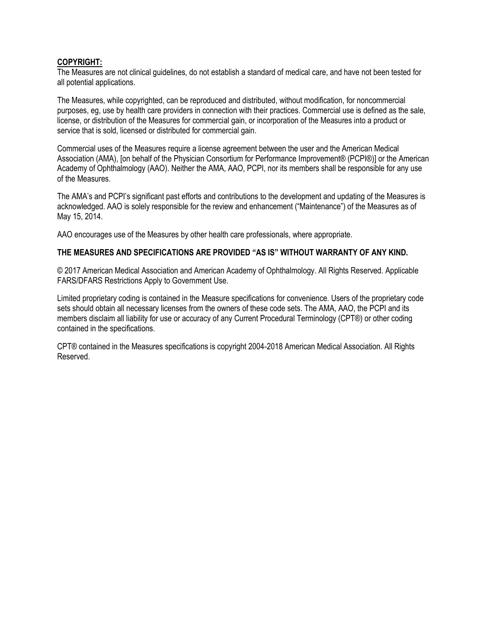# **COPYRIGHT:**

The Measures are not clinical guidelines, do not establish a standard of medical care, and have not been tested for all potential applications.

The Measures, while copyrighted, can be reproduced and distributed, without modification, for noncommercial purposes, eg, use by health care providers in connection with their practices. Commercial use is defined as the sale, license, or distribution of the Measures for commercial gain, or incorporation of the Measures into a product or service that is sold, licensed or distributed for commercial gain.

Commercial uses of the Measures require a license agreement between the user and the American Medical Association (AMA), [on behalf of the Physician Consortium for Performance Improvement® (PCPI®)] or the American Academy of Ophthalmology (AAO). Neither the AMA, AAO, PCPI, nor its members shall be responsible for any use of the Measures.

The AMA's and PCPI's significant past efforts and contributions to the development and updating of the Measures is acknowledged. AAO is solely responsible for the review and enhancement ("Maintenance") of the Measures as of May 15, 2014.

AAO encourages use of the Measures by other health care professionals, where appropriate.

# **THE MEASURES AND SPECIFICATIONS ARE PROVIDED "AS IS" WITHOUT WARRANTY OF ANY KIND.**

© 2017 American Medical Association and American Academy of Ophthalmology. All Rights Reserved. Applicable FARS/DFARS Restrictions Apply to Government Use.

Limited proprietary coding is contained in the Measure specifications for convenience. Users of the proprietary code sets should obtain all necessary licenses from the owners of these code sets. The AMA, AAO, the PCPI and its members disclaim all liability for use or accuracy of any Current Procedural Terminology (CPT®) or other coding contained in the specifications.

CPT® contained in the Measures specifications is copyright 2004-2018 American Medical Association. All Rights Reserved.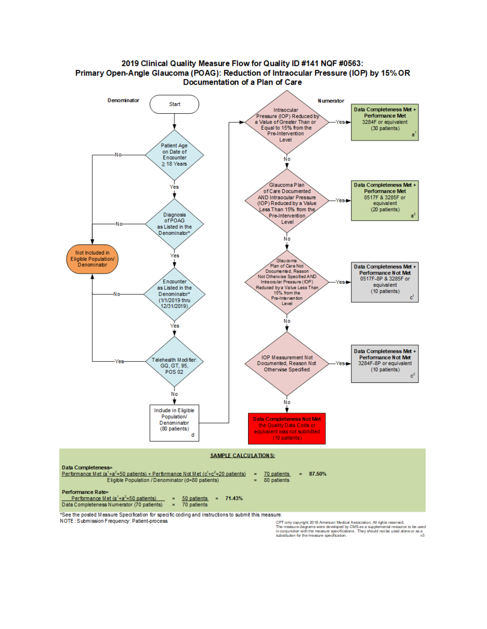

### 2019 Clinical Quality Measure Flow for Quality ID #141 NQF #0563: Primary Open-Angle Glaucoma (POAG): Reduction of Intraocular Pressure (IOP) by 15% OR Documentation of a Plan of Care

\*See the posted Measure Specification for specific coding and instructions to submit this measure.

NOTE: Submission Frequency: Patient-process

CPT only copyright 2018 American Medical Association. All rights reserved.<br>The measure diagrams were developed by CMS as a supplemental resource to be used<br>in conjunction with the measure specifications. They should not be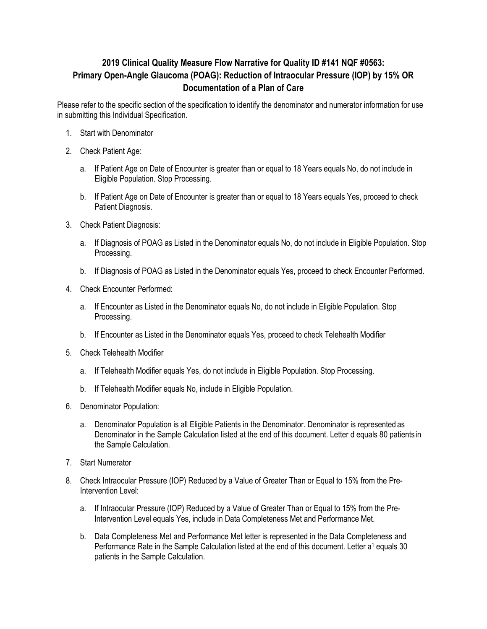# **2019 Clinical Quality Measure Flow Narrative for Quality ID #141 NQF #0563: Primary Open-Angle Glaucoma (POAG): Reduction of Intraocular Pressure (IOP) by 15% OR Documentation of a Plan of Care**

Please refer to the specific section of the specification to identify the denominator and numerator information for use in submitting this Individual Specification.

- 1. Start with Denominator
- 2. Check Patient Age:
	- a. If Patient Age on Date of Encounter is greater than or equal to 18 Years equals No, do not include in Eligible Population. Stop Processing.
	- b. If Patient Age on Date of Encounter is greater than or equal to 18 Years equals Yes, proceed to check Patient Diagnosis.
- 3. Check Patient Diagnosis:
	- a. If Diagnosis of POAG as Listed in the Denominator equals No, do not include in Eligible Population. Stop Processing.
	- b. If Diagnosis of POAG as Listed in the Denominator equals Yes, proceed to check Encounter Performed.
- 4. Check Encounter Performed:
	- a. If Encounter as Listed in the Denominator equals No, do not include in Eligible Population. Stop Processing.
	- b. If Encounter as Listed in the Denominator equals Yes, proceed to check Telehealth Modifier
- 5. Check Telehealth Modifier
	- a. If Telehealth Modifier equals Yes, do not include in Eligible Population. Stop Processing.
	- b. If Telehealth Modifier equals No, include in Eligible Population.
- 6. Denominator Population:
	- a. Denominator Population is all Eligible Patients in the Denominator. Denominator is represented as Denominator in the Sample Calculation listed at the end of this document. Letter d equals 80 patientsin the Sample Calculation.
- 7. Start Numerator
- 8. Check Intraocular Pressure (IOP) Reduced by a Value of Greater Than or Equal to 15% from the Pre-Intervention Level:
	- a. If Intraocular Pressure (IOP) Reduced by a Value of Greater Than or Equal to 15% from the Pre-Intervention Level equals Yes, include in Data Completeness Met and Performance Met.
	- b. Data Completeness Met and Performance Met letter is represented in the Data Completeness and Performance Rate in the Sample Calculation listed at the end of this document. Letter a<sup>1</sup> equals 30 patients in the Sample Calculation.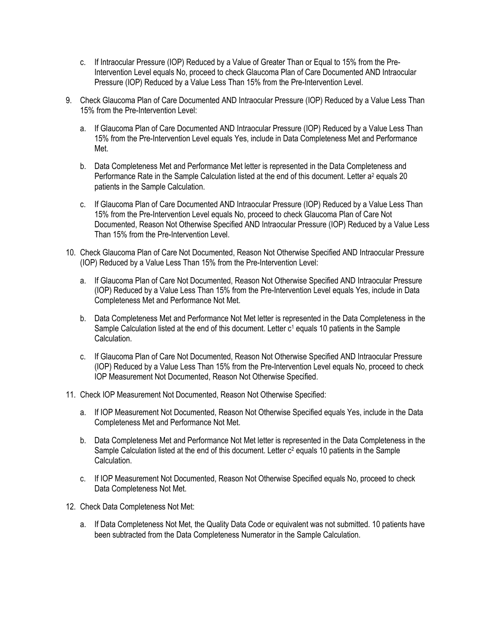- c. If Intraocular Pressure (IOP) Reduced by a Value of Greater Than or Equal to 15% from the Pre-Intervention Level equals No, proceed to check Glaucoma Plan of Care Documented AND Intraocular Pressure (IOP) Reduced by a Value Less Than 15% from the Pre-Intervention Level.
- 9. Check Glaucoma Plan of Care Documented AND Intraocular Pressure (IOP) Reduced by a Value Less Than 15% from the Pre-Intervention Level:
	- a. If Glaucoma Plan of Care Documented AND Intraocular Pressure (IOP) Reduced by a Value Less Than 15% from the Pre-Intervention Level equals Yes, include in Data Completeness Met and Performance Met.
	- b. Data Completeness Met and Performance Met letter is represented in the Data Completeness and Performance Rate in the Sample Calculation listed at the end of this document. Letter a<sup>2</sup> equals 20 patients in the Sample Calculation.
	- c. If Glaucoma Plan of Care Documented AND Intraocular Pressure (IOP) Reduced by a Value Less Than 15% from the Pre-Intervention Level equals No, proceed to check Glaucoma Plan of Care Not Documented, Reason Not Otherwise Specified AND Intraocular Pressure (IOP) Reduced by a Value Less Than 15% from the Pre-Intervention Level.
- 10. Check Glaucoma Plan of Care Not Documented, Reason Not Otherwise Specified AND Intraocular Pressure (IOP) Reduced by a Value Less Than 15% from the Pre-Intervention Level:
	- a. If Glaucoma Plan of Care Not Documented, Reason Not Otherwise Specified AND Intraocular Pressure (IOP) Reduced by a Value Less Than 15% from the Pre-Intervention Level equals Yes, include in Data Completeness Met and Performance Not Met.
	- b. Data Completeness Met and Performance Not Met letter is represented in the Data Completeness in the Sample Calculation listed at the end of this document. Letter  $c<sup>1</sup>$  equals 10 patients in the Sample Calculation.
	- c. If Glaucoma Plan of Care Not Documented, Reason Not Otherwise Specified AND Intraocular Pressure (IOP) Reduced by a Value Less Than 15% from the Pre-Intervention Level equals No, proceed to check IOP Measurement Not Documented, Reason Not Otherwise Specified.
- 11. Check IOP Measurement Not Documented, Reason Not Otherwise Specified:
	- a. If IOP Measurement Not Documented, Reason Not Otherwise Specified equals Yes, include in the Data Completeness Met and Performance Not Met.
	- b. Data Completeness Met and Performance Not Met letter is represented in the Data Completeness in the Sample Calculation listed at the end of this document. Letter  $c^2$  equals 10 patients in the Sample Calculation.
	- c. If IOP Measurement Not Documented, Reason Not Otherwise Specified equals No, proceed to check Data Completeness Not Met.
- 12. Check Data Completeness Not Met:
	- a. If Data Completeness Not Met, the Quality Data Code or equivalent was not submitted. 10 patients have been subtracted from the Data Completeness Numerator in the Sample Calculation.